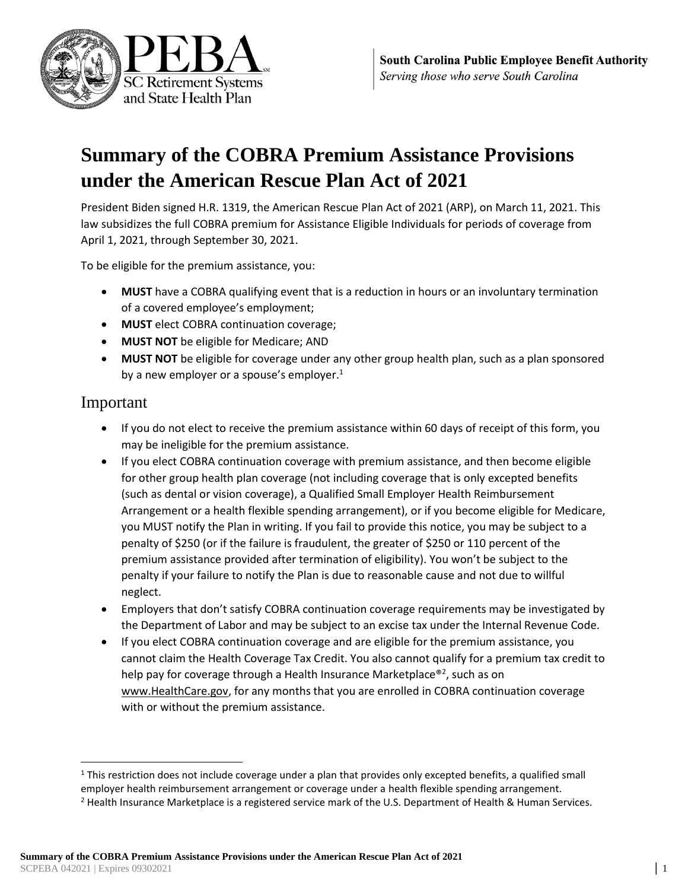

# **Summary of the COBRA Premium Assistance Provisions under the American Rescue Plan Act of 2021**

President Biden signed H.R. 1319, the American Rescue Plan Act of 2021 (ARP), on March 11, 2021. This law subsidizes the full COBRA premium for Assistance Eligible Individuals for periods of coverage from April 1, 2021, through September 30, 2021.

To be eligible for the premium assistance, you:

- **MUST** have a COBRA qualifying event that is a reduction in hours or an involuntary termination of a covered employee's employment;
- **MUST** elect COBRA continuation coverage;
- **MUST NOT** be eligible for Medicare; AND
- **MUST NOT** be eligible for coverage under any other group health plan, such as a plan sponsored by a new employer or a spouse's employer. $1$

## Important

- If you do not elect to receive the premium assistance within 60 days of receipt of this form, you may be ineligible for the premium assistance.
- If you elect COBRA continuation coverage with premium assistance, and then become eligible for other group health plan coverage (not including coverage that is only excepted benefits (such as dental or vision coverage), a Qualified Small Employer Health Reimbursement Arrangement or a health flexible spending arrangement), or if you become eligible for Medicare, you MUST notify the Plan in writing. If you fail to provide this notice, you may be subject to a penalty of \$250 (or if the failure is fraudulent, the greater of \$250 or 110 percent of the premium assistance provided after termination of eligibility). You won't be subject to the penalty if your failure to notify the Plan is due to reasonable cause and not due to willful neglect.
- Employers that don't satisfy COBRA continuation coverage requirements may be investigated by the Department of Labor and may be subject to an excise tax under the Internal Revenue Code.
- If you elect COBRA continuation coverage and are eligible for the premium assistance, you cannot claim the Health Coverage Tax Credit. You also cannot qualify for a premium tax credit to help pay for coverage through a Health Insurance Marketplace®<sup>2</sup>, such as on www.HealthCare.gov, for any months that you are enrolled in COBRA continuation coverage with or without the premium assistance.

 $1$  This restriction does not include coverage under a plan that provides only excepted benefits, a qualified small employer health reimbursement arrangement or coverage under a health flexible spending arrangement.

<sup>&</sup>lt;sup>2</sup> Health Insurance Marketplace is a registered service mark of the U.S. Department of Health & Human Services.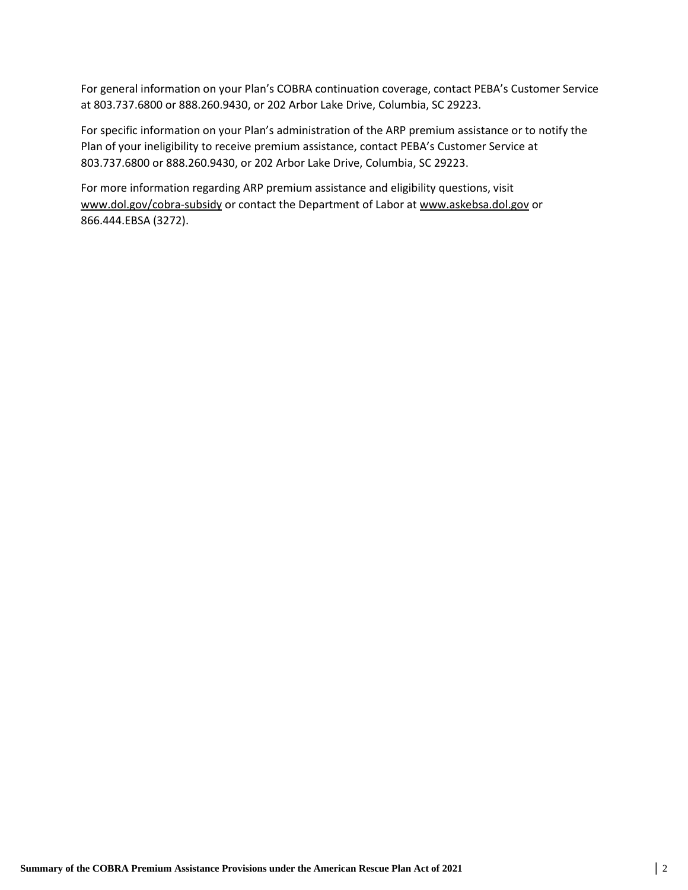For general information on your Plan's COBRA continuation coverage, contact PEBA's Customer Service at 803.737.6800 or 888.260.9430, or 202 Arbor Lake Drive, Columbia, SC 29223.

For specific information on your Plan's administration of the ARP premium assistance or to notify the Plan of your ineligibility to receive premium assistance, contact PEBA's Customer Service at 803.737.6800 or 888.260.9430, or 202 Arbor Lake Drive, Columbia, SC 29223.

For more information regarding ARP premium assistance and eligibility questions, visit www.dol.gov/cobra-subsidy or contact the Department of Labor at www.askebsa.dol.gov or 866.444.EBSA (3272).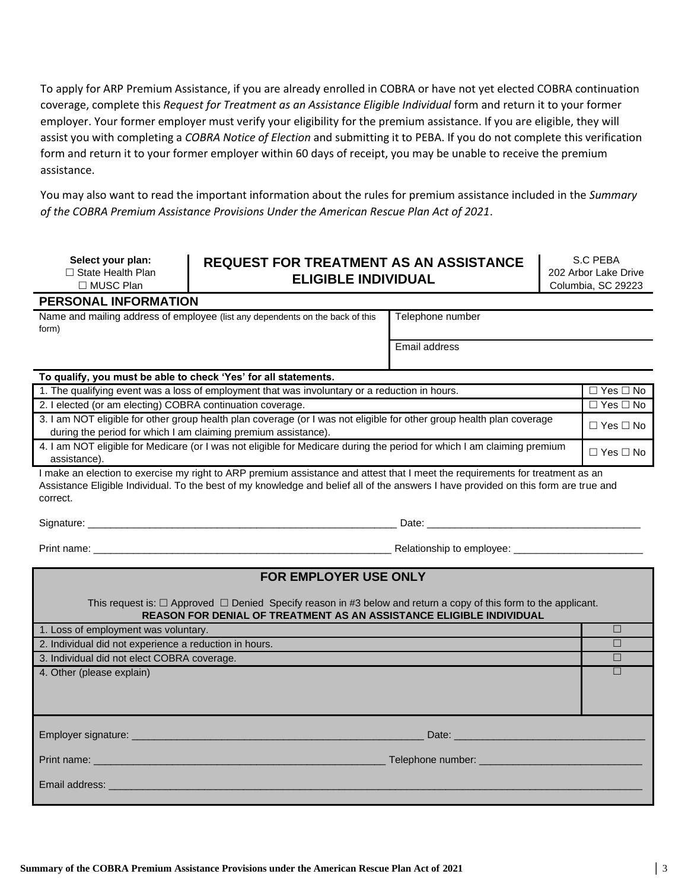To apply for ARP Premium Assistance, if you are already enrolled in COBRA or have not yet elected COBRA continuation coverage, complete this *Request for Treatment as an Assistance Eligible Individual* form and return it to your former employer. Your former employer must verify your eligibility for the premium assistance. If you are eligible, they will assist you with completing a *COBRA Notice of Election* and submitting it to PEBA. If you do not complete this verification form and return it to your former employer within 60 days of receipt, you may be unable to receive the premium assistance.

You may also want to read the important information about the rules for premium assistance included in the *Summary of the COBRA Premium Assistance Provisions Under the American Rescue Plan Act of 2021*.

| Select your plan:                         | <b>REQUEST FOR TREATMENT AS AN ASSISTANCE</b> | S.C PEBA                                   |
|-------------------------------------------|-----------------------------------------------|--------------------------------------------|
| l State Health Plan<br>$\Box$ MUSC Plan . | <b>ELIGIBLE INDIVIDUAL</b>                    | 202 Arbor Lake Drive<br>Columbia, SC 29223 |

**PERSONAL INFORMATION**

Name and mailing address of employee (list any dependents on the back of this form)

Telephone number

Email address

#### **To qualify, you must be able to check 'Yes' for all statements.**

| 1. The qualifying event was a loss of employment that was involuntary or a reduction in hours.                                                                                          | $\Box$ Yes $\Box$ No |
|-----------------------------------------------------------------------------------------------------------------------------------------------------------------------------------------|----------------------|
| 2. I elected (or am electing) COBRA continuation coverage.                                                                                                                              | $\Box$ Yes $\Box$ No |
| 3. I am NOT eligible for other group health plan coverage (or I was not eligible for other group health plan coverage<br>during the period for which I am claiming premium assistance). | $\Box$ Yes $\Box$ No |
| 4. I am NOT eligible for Medicare (or I was not eligible for Medicare during the period for which I am claiming premium<br>assistance).                                                 | □ Yes □ No           |

I make an election to exercise my right to ARP premium assistance and attest that I meet the requirements for treatment as an Assistance Eligible Individual. To the best of my knowledge and belief all of the answers I have provided on this form are true and correct.

Signature: \_\_\_\_\_\_\_\_\_\_\_\_\_\_\_\_\_\_\_\_\_\_\_\_\_\_\_\_\_\_\_\_\_\_\_\_\_\_\_\_\_\_\_\_\_\_\_\_\_\_\_\_\_\_\_ Date: \_\_\_\_\_\_\_\_\_\_\_\_\_\_\_\_\_\_\_\_\_\_\_\_\_\_\_\_\_\_\_\_\_\_\_\_\_\_

Print name: \_\_\_\_\_\_\_\_\_\_\_\_\_\_\_\_\_\_\_\_\_\_\_\_\_\_\_\_\_\_\_\_\_\_\_\_\_\_\_\_\_\_\_\_\_\_\_\_\_\_\_\_\_ Relationship to employee: \_\_\_\_\_\_\_\_\_\_\_\_\_\_\_\_\_\_\_\_\_\_\_

| <b>FOR EMPLOYER USE ONLY</b>                                                                                                                                                                                                   |  |
|--------------------------------------------------------------------------------------------------------------------------------------------------------------------------------------------------------------------------------|--|
| This request is: $\Box$ Approved $\Box$ Denied Specify reason in #3 below and return a copy of this form to the applicant.<br>REASON FOR DENIAL OF TREATMENT AS AN ASSISTANCE ELIGIBLE INDIVIDUAL                              |  |
| 1. Loss of employment was voluntary.                                                                                                                                                                                           |  |
| 2. Individual did not experience a reduction in hours.                                                                                                                                                                         |  |
| 3. Individual did not elect COBRA coverage.                                                                                                                                                                                    |  |
| 4. Other (please explain)                                                                                                                                                                                                      |  |
| Date: Date: The Contract of the Contract of the Contract of the Contract of the Contract of the Contract of the Contract of the Contract of the Contract of the Contract of the Contract of the Contract of the Contract of th |  |
| Print name: _________________                                                                                                                                                                                                  |  |
| Email address: Email and the state of the state of the state of the state of the state of the state of the state of the state of the state of the state of the state of the state of the state of the state of the state of th |  |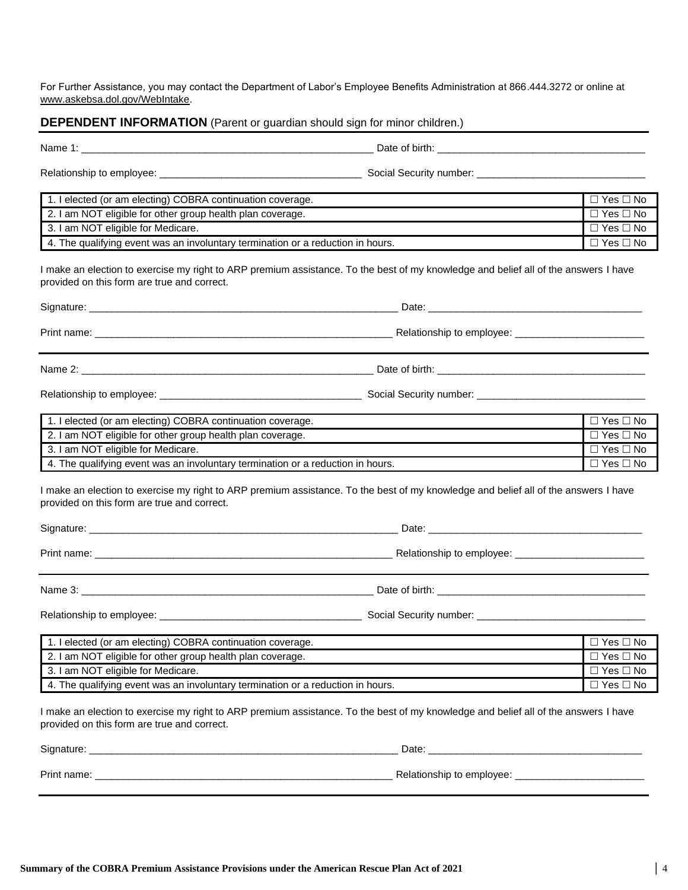For Further Assistance, you may contact the Department of Labor's Employee Benefits Administration at 866.444.3272 or online at www.askebsa.dol.gov/WebIntake.

### **DEPENDENT INFORMATION** (Parent or guardian should sign for minor children.)

| 1. I elected (or am electing) COBRA continuation coverage.                                                                                                                         | $\Box$ Yes $\Box$ No |
|------------------------------------------------------------------------------------------------------------------------------------------------------------------------------------|----------------------|
| 2. I am NOT eligible for other group health plan coverage.                                                                                                                         | $\Box$ Yes $\Box$ No |
| 3. I am NOT eligible for Medicare.                                                                                                                                                 | $\Box$ Yes $\Box$ No |
| 4. The qualifying event was an involuntary termination or a reduction in hours.                                                                                                    | $\Box$ Yes $\Box$ No |
| I make an election to exercise my right to ARP premium assistance. To the best of my knowledge and belief all of the answers I have<br>provided on this form are true and correct. |                      |
|                                                                                                                                                                                    |                      |
|                                                                                                                                                                                    |                      |
|                                                                                                                                                                                    |                      |
|                                                                                                                                                                                    |                      |
| 1. I elected (or am electing) COBRA continuation coverage.                                                                                                                         | $\Box$ Yes $\Box$ No |
| 2. I am NOT eligible for other group health plan coverage.                                                                                                                         | $\Box$ Yes $\Box$ No |
| 3. I am NOT eligible for Medicare.                                                                                                                                                 | $\Box$ Yes $\Box$ No |
| 4. The qualifying event was an involuntary termination or a reduction in hours.                                                                                                    | $\Box$ Yes $\Box$ No |
| I make an election to exercise my right to ARP premium assistance. To the best of my knowledge and belief all of the answers I have<br>provided on this form are true and correct. |                      |
|                                                                                                                                                                                    |                      |
|                                                                                                                                                                                    |                      |
|                                                                                                                                                                                    |                      |
|                                                                                                                                                                                    |                      |
| 1. I elected (or am electing) COBRA continuation coverage.                                                                                                                         | $\Box$ Yes $\Box$ No |
| 2. I am NOT eligible for other group health plan coverage.                                                                                                                         | $\Box$ Yes $\Box$ No |
| 3. I am NOT eligible for Medicare.                                                                                                                                                 | $\Box$ Yes $\Box$ No |
| 4. The qualifying event was an involuntary termination or a reduction in hours.                                                                                                    | $\Box$ Yes $\Box$ No |
| I make an election to exercise my right to ARP premium assistance. To the best of my knowledge and belief all of the answers I have<br>provided on this form are true and correct. |                      |
|                                                                                                                                                                                    |                      |
|                                                                                                                                                                                    |                      |